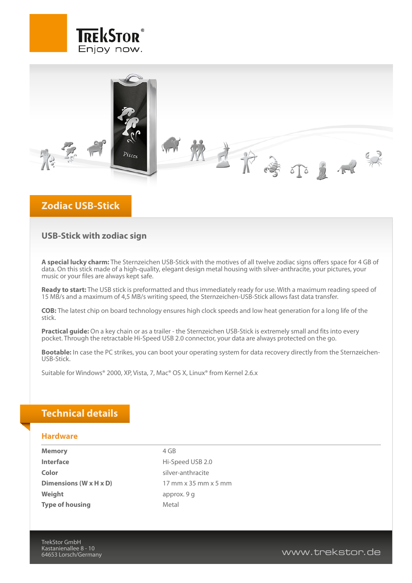



## **Zodiac USB-Stick**

### **USB-Stick with zodiac sign**

**A special lucky charm:** The Sternzeichen USB-Stick with the motives of all twelve zodiac signs offers space for 4 GB of data. On this stick made of a high-quality, elegant design metal housing with silver-anthracite, your pictures, your music or your files are always kept safe.

**Ready to start:** The USB stick is preformatted and thus immediately ready for use. With a maximum reading speed of 15 MB/s and a maximum of 4,5 MB/s writing speed, the Sternzeichen-USB-Stick allows fast data transfer.

**COB:** The latest chip on board technology ensures high clock speeds and low heat generation for a long life of the stick.

**Practical guide:** On a key chain or as a trailer - the Sternzeichen USB-Stick is extremely small and fits into every pocket. Through the retractable Hi-Speed USB 2.0 connector, your data are always protected on the go.

**Bootable:** In case the PC strikes, you can boot your operating system for data recovery directly from the Sternzeichen-USB-Stick.

Suitable for Windows® 2000, XP, Vista, 7, Mac® OS X, Linux® from Kernel 2.6.x

## **Technical details**

#### **Hardware**

**Memory** 4 GB **Interface Hi-Speed USB 2.0 Color** silver-anthracite **Dimensions (W x H x D)** 17 mm x 35 mm x 5 mm **Weight** approx. 9 g **Type of housing** Metal

TrekStor GmbH Kastanienallee 8 - 10

www.trekstor.de